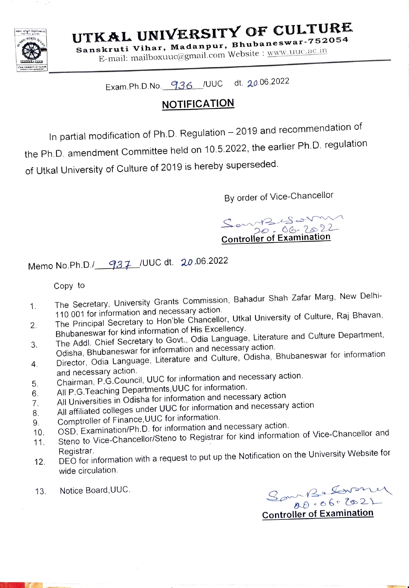

UTKAL UNIVERSITY OF CULTURE  $B_{\text{buhaneswar}}$ . 752054

Sanskruti Vihar, Madanpur, E-mail: mailboxuuc@gmail.com Website : www, Uuc.ac.in

# Exam.Ph.D.No 936\_/UUC dt. 20.06.2022

# **NOTIFICATION**

In partial modification of Ph.D. Regulation - 2019 and recommendation of the Ph.D. amendment Committee held on 10.5.2022, the earlier Ph.D. regulation of Utkal University of Culture of 2019 is hereby superseded.

By order of Vice-Chancellor

 $M2.88$  avenuelles Controller of Examination

Memo No.Ph.D./ 937 /UUC dt. 20.06.2022

Copy to

- The Secretary, University Grants Commission, Bahadur Shah Zafar Marg, New Delhi 110 001 for information and necessary action. 1.
- The Principal Secretary to Hon'ble Chancellor, Utkal University of Culture, Raj Bhavan, Bhubaneswar for kind information of His Excellency. 2.
- The Addl. Chief Secretary to Govt., Odia Language, Literature and Culture Department, Odisha, Bhubaneswar for information and necessary action. 3.
- Director, Odia Language, Literature and Culture, Odisha, Bhubaneswar for information<br>and necessary action. 4.
- and necessary action.<br>Chairman, P.G.Council, UUC for information and necessary action.
- All P.G.Teaching Departments,UUC for information.  $5<sub>1</sub>$
- All Universities in Odisha for information and necessary action 6.
- All affiliated colleges under UUC for information and necessary action 7.
- 8. Comptroller of Finance,UUC for information.
- OSD, Examination/Ph.D. for information and necessary action 9.
- Steno to Vice-Chancellor/Steno to Registrar for kind information of Vice-Chancellor and 10. 11.
- Registrar.<br>DEO for information with a request to put up the Notification on the University Website for 12 wide circulation.
- 13. Notice Board, UUC.

 $30 - 139$  Lavenez

Controller of Examination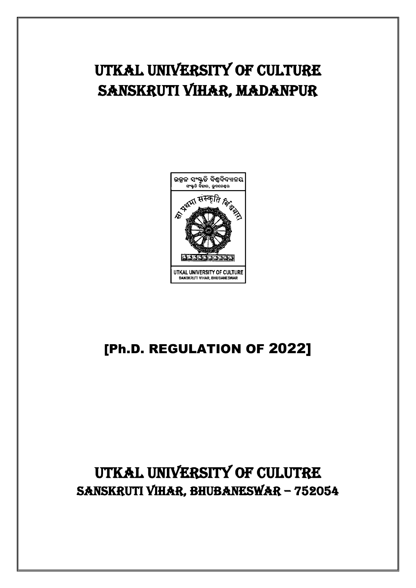# UTKAL UNIVERSITY OF CULTURE SANSKRUTI VIHAR, MADANPUR



# [Ph.D. REGULATION OF 2022]

# UTKAL UNIVERSITY OF CULUTRE SANSKRUTI VIHAR, BHUBANESWAR – 752054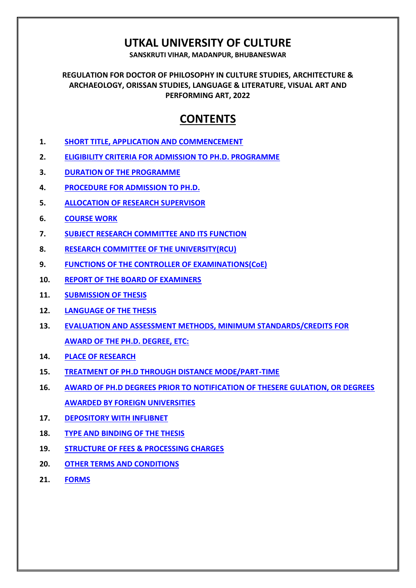# **UTKAL UNIVERSITY OF CULTURE**

**SANSKRUTI VIHAR, MADANPUR, BHUBANESWAR**

**REGULATION FOR DOCTOR OF PHILOSOPHY IN CULTURE STUDIES, ARCHITECTURE & ARCHAEOLOGY, ORISSAN STUDIES, LANGUAGE & LITERATURE, VISUAL ART AND PERFORMING ART, 2022**

# **CONTENTS**

- **1. [SHORT TITLE, APPLICATION AND COMMENCEMENT](#page-3-0)**
- **2. [ELIGIBILITY CRITERIA FOR ADMISSION TO PH.D. PROGRAMME](#page-3-1)**
- **3. [DURATION OF THE PROGRAMME](#page-4-0)**
- **4. [PROCEDURE FOR ADMISSION TO PH.D.](#page-4-1)**
- **5. [ALLOCATION OF RESEARCH SUPERVISOR](#page-6-0)**
- **6. [COURSE WORK](#page-8-0)**
- **7. [SUBJECT RESEARCH COMMITTEE AND ITS FUNCTION](#page-9-0)**
- **8. [RESEARCH COMMITTEE OF THE UNIVERSITY\(RCU\)](#page-9-1)**
- **9. [FUNCTIONS OF THE CONTROLLER OF EXAMINATIONS\(CoE\)](#page-10-0)**
- **10. [REPORT OF THE BOARD OF EXAMINERS](#page-12-0)**
- **11. [SUBMISSION OF THESIS](#page-13-0)**
- **12. [LANGUAGE OF THE THESIS](#page-15-0)**
- **13. [EVALUATION AND ASSESSMENT METHODS, MINIMUM STANDARDS/CREDITS FOR](#page-15-1)  [AWARD OF THE PH.D. DEGREE, ETC:](#page-15-1)**
- **14. [PLACE OF RESEARCH](#page-17-0)**
- **15. [TREATMENT OF PH.D THROUGH DISTANCE MODE/PART-TIME](#page-17-1)**
- **16. [AWARD OF PH.D DEGREES PRIOR TO NOTIFICATION OF THESERE GULATION, OR DEGREES](#page-17-2)  [AWARDED BY FOREIGN UNIVERSITIES](#page-17-2)**
- **17. [DEPOSITORY WITH INFLIBNET](#page-18-0)**
- **18. [TYPE AND BINDING OF THE THESIS](#page-18-1)**
- **19. [STRUCTURE OF FEES & PROCESSING CHARGES](#page-18-2)**
- **20. [OTHER TERMS AND CONDITIONS](#page-19-0)**
- **21. [FORMS](#page-20-0)**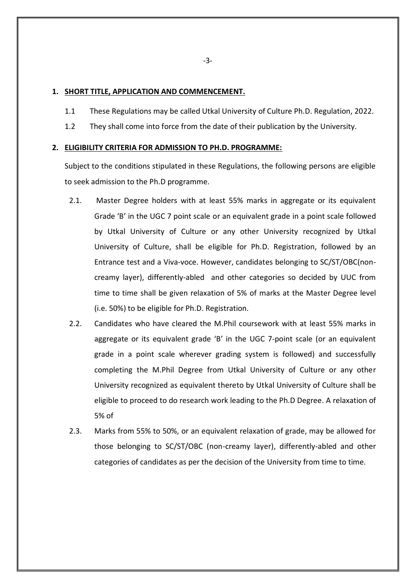## <span id="page-3-0"></span>**1. SHORT TITLE, APPLICATION AND COMMENCEMENT.**

- 1.1 These Regulations may be called Utkal University of Culture Ph.D. Regulation, 2022.
- 1.2 They shall come into force from the date of their publication by the University.

## <span id="page-3-1"></span>**2. ELIGIBILITY CRITERIA FOR ADMISSION TO PH.D. PROGRAMME:**

Subject to the conditions stipulated in these Regulations, the following persons are eligible to seek admission to the Ph.D programme.

- 2.1. Master Degree holders with at least 55% marks in aggregate or its equivalent Grade 'B' in the UGC 7 point scale or an equivalent grade in a point scale followed by Utkal University of Culture or any other University recognized by Utkal University of Culture, shall be eligible for Ph.D. Registration, followed by an Entrance test and a Viva-voce. However, candidates belonging to SC/ST/OBC(noncreamy layer), differently-abled and other categories so decided by UUC from time to time shall be given relaxation of 5% of marks at the Master Degree level (i.e. 50%) to be eligible for Ph.D. Registration.
- 2.2. Candidates who have cleared the M.Phil coursework with at least 55% marks in aggregate or its equivalent grade 'B' in the UGC 7-point scale (or an equivalent grade in a point scale wherever grading system is followed) and successfully completing the M.Phil Degree from Utkal University of Culture or any other University recognized as equivalent thereto by Utkal University of Culture shall be eligible to proceed to do research work leading to the Ph.D Degree. A relaxation of 5% of
- 2.3. Marks from 55% to 50%, or an equivalent relaxation of grade, may be allowed for those belonging to SC/ST/OBC (non-creamy layer), differently-abled and other categories of candidates as per the decision of the University from time to time.

-3-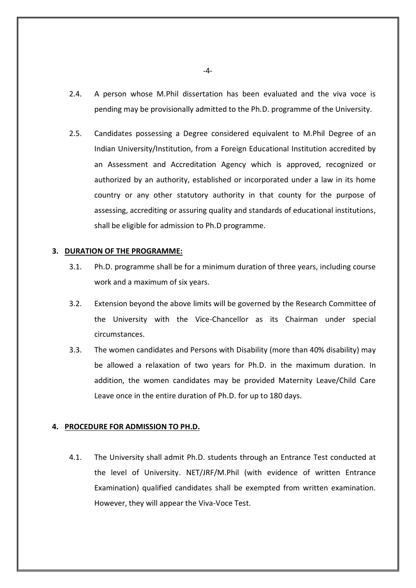- 2.4. A person whose M.Phil dissertation has been evaluated and the viva voce is pending may be provisionally admitted to the Ph.D. programme of the University.
- 2.5. Candidates possessing a Degree considered equivalent to M.Phil Degree of an Indian University/Institution, from a Foreign Educational Institution accredited by an Assessment and Accreditation Agency which is approved, recognized or authorized by an authority, established or incorporated under a law in its home country or any other statutory authority in that county for the purpose of assessing, accrediting or assuring quality and standards of educational institutions, shall be eligible for admission to Ph.D programme.

#### <span id="page-4-0"></span>**3. DURATION OF THE PROGRAMME:**

- 3.1. Ph.D. programme shall be for a minimum duration of three years, including course work and a maximum of six years.
- 3.2. Extension beyond the above limits will be governed by the Research Committee of the University with the Vice-Chancellor as its Chairman under special circumstances.
- 3.3. The women candidates and Persons with Disability (more than 40% disability) may be allowed a relaxation of two years for Ph.D. in the maximum duration. In addition, the women candidates may be provided Maternity Leave/Child Care Leave once in the entire duration of Ph.D. for up to 180 days.

## <span id="page-4-1"></span>**4. PROCEDURE FOR ADMISSION TO PH.D.**

4.1. The University shall admit Ph.D. students through an Entrance Test conducted at the level of University. NET/JRF/M.Phil (with evidence of written Entrance Examination) qualified candidates shall be exempted from written examination. However, they will appear the Viva-Voce Test.

-4-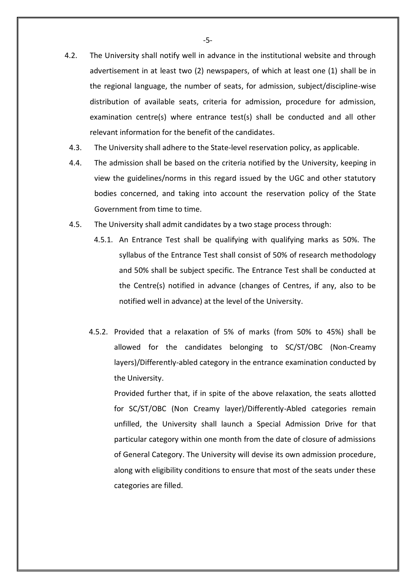- 4.2. The University shall notify well in advance in the institutional website and through advertisement in at least two (2) newspapers, of which at least one (1) shall be in the regional language, the number of seats, for admission, subject/discipline-wise distribution of available seats, criteria for admission, procedure for admission, examination centre(s) where entrance test(s) shall be conducted and all other relevant information for the benefit of the candidates.
	- 4.3. The University shall adhere to the State-level reservation policy, as applicable.
	- 4.4. The admission shall be based on the criteria notified by the University, keeping in view the guidelines/norms in this regard issued by the UGC and other statutory bodies concerned, and taking into account the reservation policy of the State Government from time to time.
	- 4.5. The University shall admit candidates by a two stage process through:
		- 4.5.1. An Entrance Test shall be qualifying with qualifying marks as 50%. The syllabus of the Entrance Test shall consist of 50% of research methodology and 50% shall be subject specific. The Entrance Test shall be conducted at the Centre(s) notified in advance (changes of Centres, if any, also to be notified well in advance) at the level of the University.
		- 4.5.2. Provided that a relaxation of 5% of marks (from 50% to 45%) shall be allowed for the candidates belonging to SC/ST/OBC (Non-Creamy layers)/Differently-abled category in the entrance examination conducted by the University.

Provided further that, if in spite of the above relaxation, the seats allotted for SC/ST/OBC (Non Creamy layer)/Differently-Abled categories remain unfilled, the University shall launch a Special Admission Drive for that particular category within one month from the date of closure of admissions of General Category. The University will devise its own admission procedure, along with eligibility conditions to ensure that most of the seats under these categories are filled.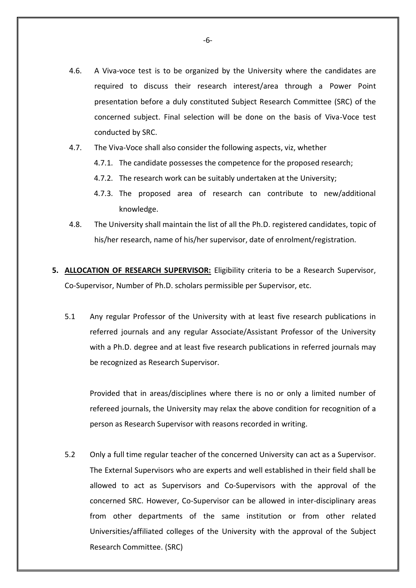- 4.6. A Viva-voce test is to be organized by the University where the candidates are required to discuss their research interest/area through a Power Point presentation before a duly constituted Subject Research Committee (SRC) of the concerned subject. Final selection will be done on the basis of Viva-Voce test conducted by SRC.
- 4.7. The Viva-Voce shall also consider the following aspects, viz, whether
	- 4.7.1. The candidate possesses the competence for the proposed research;
	- 4.7.2. The research work can be suitably undertaken at the University;
	- 4.7.3. The proposed area of research can contribute to new/additional knowledge.
- 4.8. The University shall maintain the list of all the Ph.D. registered candidates, topic of his/her research, name of his/her supervisor, date of enrolment/registration.
- <span id="page-6-0"></span>**5. ALLOCATION OF RESEARCH SUPERVISOR:** Eligibility criteria to be a Research Supervisor, Co-Supervisor, Number of Ph.D. scholars permissible per Supervisor, etc.
	- 5.1 Any regular Professor of the University with at least five research publications in referred journals and any regular Associate/Assistant Professor of the University with a Ph.D. degree and at least five research publications in referred journals may be recognized as Research Supervisor.

Provided that in areas/disciplines where there is no or only a limited number of refereed journals, the University may relax the above condition for recognition of a person as Research Supervisor with reasons recorded in writing.

5.2 Only a full time regular teacher of the concerned University can act as a Supervisor. The External Supervisors who are experts and well established in their field shall be allowed to act as Supervisors and Co-Supervisors with the approval of the concerned SRC. However, Co-Supervisor can be allowed in inter-disciplinary areas from other departments of the same institution or from other related Universities/affiliated colleges of the University with the approval of the Subject Research Committee. (SRC)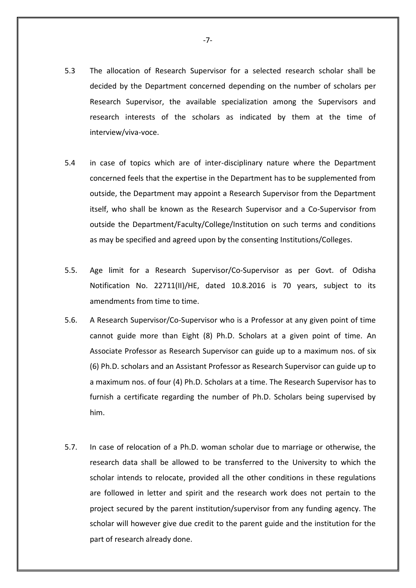- 5.3 The allocation of Research Supervisor for a selected research scholar shall be decided by the Department concerned depending on the number of scholars per Research Supervisor, the available specialization among the Supervisors and research interests of the scholars as indicated by them at the time of interview/viva-voce.
- 5.4 in case of topics which are of inter-disciplinary nature where the Department concerned feels that the expertise in the Department has to be supplemented from outside, the Department may appoint a Research Supervisor from the Department itself, who shall be known as the Research Supervisor and a Co-Supervisor from outside the Department/Faculty/College/Institution on such terms and conditions as may be specified and agreed upon by the consenting Institutions/Colleges.
- 5.5. Age limit for a Research Supervisor/Co-Supervisor as per Govt. of Odisha Notification No. 22711(II)/HE, dated 10.8.2016 is 70 years, subject to its amendments from time to time.
- 5.6. A Research Supervisor/Co-Supervisor who is a Professor at any given point of time cannot guide more than Eight (8) Ph.D. Scholars at a given point of time. An Associate Professor as Research Supervisor can guide up to a maximum nos. of six (6) Ph.D. scholars and an Assistant Professor as Research Supervisor can guide up to a maximum nos. of four (4) Ph.D. Scholars at a time. The Research Supervisor has to furnish a certificate regarding the number of Ph.D. Scholars being supervised by him.
- 5.7. In case of relocation of a Ph.D. woman scholar due to marriage or otherwise, the research data shall be allowed to be transferred to the University to which the scholar intends to relocate, provided all the other conditions in these regulations are followed in letter and spirit and the research work does not pertain to the project secured by the parent institution/supervisor from any funding agency. The scholar will however give due credit to the parent guide and the institution for the part of research already done.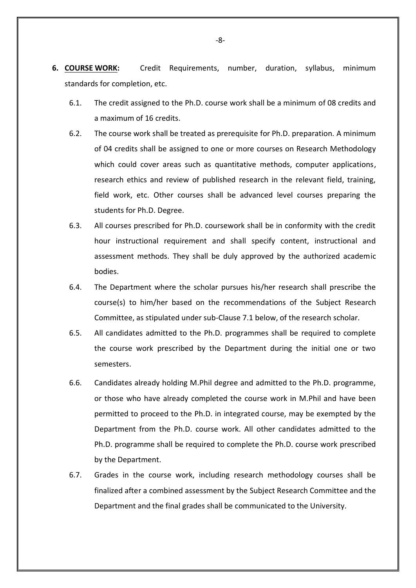- <span id="page-8-0"></span>**6. COURSE WORK:** Credit Requirements, number, duration, syllabus, minimum standards for completion, etc.
	- 6.1. The credit assigned to the Ph.D. course work shall be a minimum of 08 credits and a maximum of 16 credits.
	- 6.2. The course work shall be treated as prerequisite for Ph.D. preparation. A minimum of 04 credits shall be assigned to one or more courses on Research Methodology which could cover areas such as quantitative methods, computer applications, research ethics and review of published research in the relevant field, training, field work, etc. Other courses shall be advanced level courses preparing the students for Ph.D. Degree.
	- 6.3. All courses prescribed for Ph.D. coursework shall be in conformity with the credit hour instructional requirement and shall specify content, instructional and assessment methods. They shall be duly approved by the authorized academic bodies.
	- 6.4. The Department where the scholar pursues his/her research shall prescribe the course(s) to him/her based on the recommendations of the Subject Research Committee, as stipulated under sub-Clause 7.1 below, of the research scholar.
	- 6.5. All candidates admitted to the Ph.D. programmes shall be required to complete the course work prescribed by the Department during the initial one or two semesters.
	- 6.6. Candidates already holding M.Phil degree and admitted to the Ph.D. programme, or those who have already completed the course work in M.Phil and have been permitted to proceed to the Ph.D. in integrated course, may be exempted by the Department from the Ph.D. course work. All other candidates admitted to the Ph.D. programme shall be required to complete the Ph.D. course work prescribed by the Department.
	- 6.7. Grades in the course work, including research methodology courses shall be finalized after a combined assessment by the Subject Research Committee and the Department and the final grades shall be communicated to the University.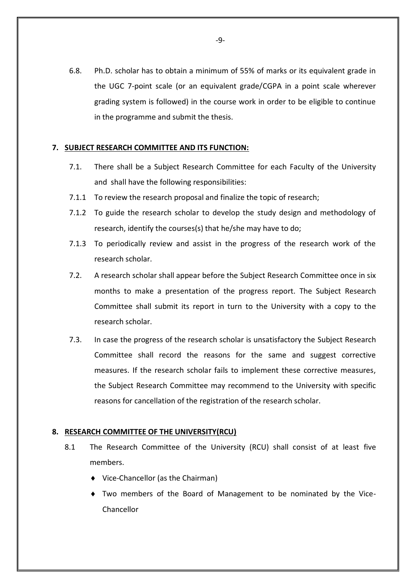6.8. Ph.D. scholar has to obtain a minimum of 55% of marks or its equivalent grade in the UGC 7-point scale (or an equivalent grade/CGPA in a point scale wherever grading system is followed) in the course work in order to be eligible to continue in the programme and submit the thesis.

## <span id="page-9-0"></span>**7. SUBJECT RESEARCH COMMITTEE AND ITS FUNCTION:**

- 7.1. There shall be a Subject Research Committee for each Faculty of the University and shall have the following responsibilities:
- 7.1.1 To review the research proposal and finalize the topic of research;
- 7.1.2 To guide the research scholar to develop the study design and methodology of research, identify the courses(s) that he/she may have to do;
- 7.1.3 To periodically review and assist in the progress of the research work of the research scholar.
- 7.2. A research scholar shall appear before the Subject Research Committee once in six months to make a presentation of the progress report. The Subject Research Committee shall submit its report in turn to the University with a copy to the research scholar.
- 7.3. In case the progress of the research scholar is unsatisfactory the Subject Research Committee shall record the reasons for the same and suggest corrective measures. If the research scholar fails to implement these corrective measures, the Subject Research Committee may recommend to the University with specific reasons for cancellation of the registration of the research scholar.

#### <span id="page-9-1"></span>**8. RESEARCH COMMITTEE OF THE UNIVERSITY(RCU)**

- 8.1 The Research Committee of the University (RCU) shall consist of at least five members.
	- Vice-Chancellor (as the Chairman)
	- Two members of the Board of Management to be nominated by the Vice-Chancellor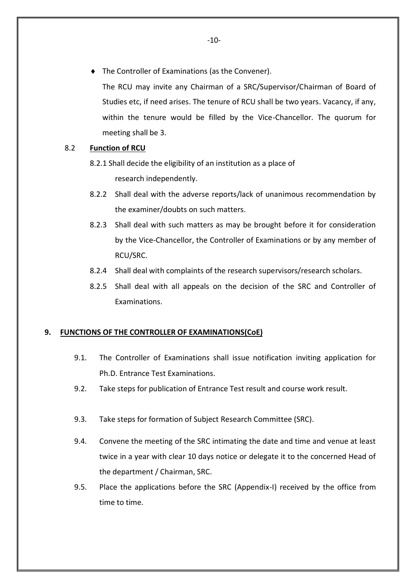The Controller of Examinations (as the Convener).

The RCU may invite any Chairman of a SRC/Supervisor/Chairman of Board of Studies etc, if need arises. The tenure of RCU shall be two years. Vacancy, if any, within the tenure would be filled by the Vice-Chancellor. The quorum for meeting shall be 3.

## 8.2 **Function of RCU**

8.2.1 Shall decide the eligibility of an institution as a place of research independently.

- 8.2.2 Shall deal with the adverse reports/lack of unanimous recommendation by the examiner/doubts on such matters.
- 8.2.3 Shall deal with such matters as may be brought before it for consideration by the Vice-Chancellor, the Controller of Examinations or by any member of RCU/SRC.
- 8.2.4 Shall deal with complaints of the research supervisors/research scholars.
- 8.2.5 Shall deal with all appeals on the decision of the SRC and Controller of Examinations.

## <span id="page-10-0"></span>**9. FUNCTIONS OF THE CONTROLLER OF EXAMINATIONS(CoE)**

- 9.1. The Controller of Examinations shall issue notification inviting application for Ph.D. Entrance Test Examinations.
- 9.2. Take steps for publication of Entrance Test result and course work result.
- 9.3. Take steps for formation of Subject Research Committee (SRC).
- 9.4. Convene the meeting of the SRC intimating the date and time and venue at least twice in a year with clear 10 days notice or delegate it to the concerned Head of the department / Chairman, SRC.
- 9.5. Place the applications before the SRC (Appendix-I) received by the office from time to time.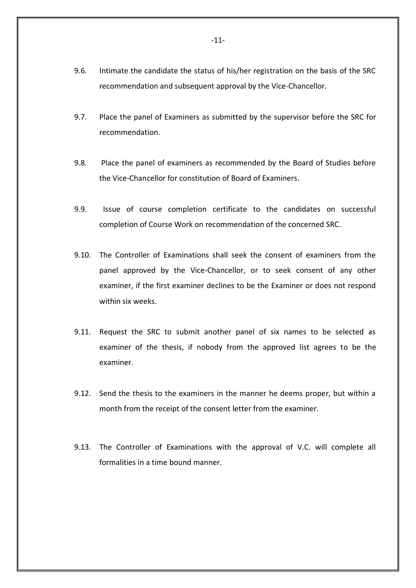- 9.6. Intimate the candidate the status of his/her registration on the basis of the SRC recommendation and subsequent approval by the Vice-Chancellor.
- 9.7. Place the panel of Examiners as submitted by the supervisor before the SRC for recommendation.
- 9.8. Place the panel of examiners as recommended by the Board of Studies before the Vice-Chancellor for constitution of Board of Examiners.
- 9.9. Issue of course completion certificate to the candidates on successful completion of Course Work on recommendation of the concerned SRC.
- 9.10. The Controller of Examinations shall seek the consent of examiners from the panel approved by the Vice-Chancellor, or to seek consent of any other examiner, if the first examiner declines to be the Examiner or does not respond within six weeks.
- 9.11. Request the SRC to submit another panel of six names to be selected as examiner of the thesis, if nobody from the approved list agrees to be the examiner.
- 9.12. Send the thesis to the examiners in the manner he deems proper, but within a month from the receipt of the consent letter from the examiner.
- 9.13. The Controller of Examinations with the approval of V.C. will complete all formalities in a time bound manner.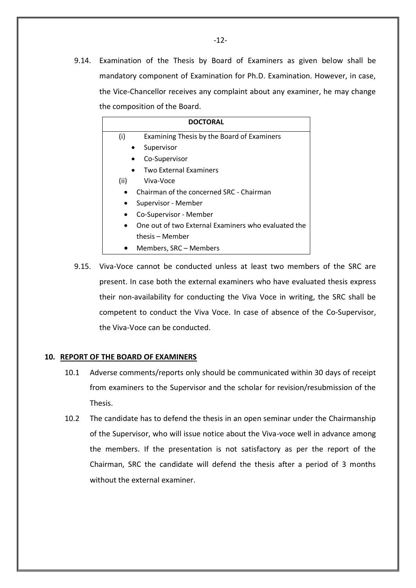9.14. Examination of the Thesis by Board of Examiners as given below shall be mandatory component of Examination for Ph.D. Examination. However, in case, the Vice-Chancellor receives any complaint about any examiner, he may change the composition of the Board.

|      | <b>DOCTORAL</b>                                     |
|------|-----------------------------------------------------|
| (i)  | Examining Thesis by the Board of Examiners          |
|      | Supervisor                                          |
|      | Co-Supervisor                                       |
|      | <b>Two External Examiners</b>                       |
| (ii) | Viva-Voce                                           |
|      | Chairman of the concerned SRC - Chairman            |
|      | Supervisor - Member                                 |
|      | Co-Supervisor - Member                              |
|      | One out of two External Examiners who evaluated the |
|      | thesis – Member                                     |
|      | Members, SRC – Members                              |

9.15. Viva-Voce cannot be conducted unless at least two members of the SRC are present. In case both the external examiners who have evaluated thesis express their non-availability for conducting the Viva Voce in writing, the SRC shall be competent to conduct the Viva Voce. In case of absence of the Co-Supervisor, the Viva-Voce can be conducted.

#### <span id="page-12-0"></span>**10. REPORT OF THE BOARD OF EXAMINERS**

- 10.1 Adverse comments/reports only should be communicated within 30 days of receipt from examiners to the Supervisor and the scholar for revision/resubmission of the Thesis.
- 10.2 The candidate has to defend the thesis in an open seminar under the Chairmanship of the Supervisor, who will issue notice about the Viva-voce well in advance among the members. If the presentation is not satisfactory as per the report of the Chairman, SRC the candidate will defend the thesis after a period of 3 months without the external examiner.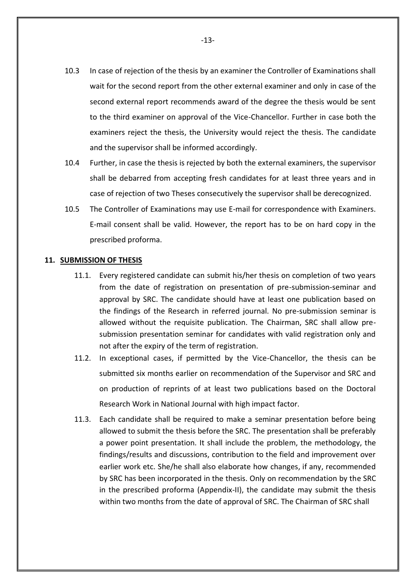- 10.3 In case of rejection of the thesis by an examiner the Controller of Examinations shall wait for the second report from the other external examiner and only in case of the second external report recommends award of the degree the thesis would be sent to the third examiner on approval of the Vice-Chancellor. Further in case both the examiners reject the thesis, the University would reject the thesis. The candidate and the supervisor shall be informed accordingly.
- 10.4 Further, in case the thesis is rejected by both the external examiners, the supervisor shall be debarred from accepting fresh candidates for at least three years and in case of rejection of two Theses consecutively the supervisor shall be derecognized.
- 10.5 The Controller of Examinations may use E-mail for correspondence with Examiners. E-mail consent shall be valid. However, the report has to be on hard copy in the prescribed proforma.

## <span id="page-13-0"></span>**11. SUBMISSION OF THESIS**

- 11.1. Every registered candidate can submit his/her thesis on completion of two years from the date of registration on presentation of pre-submission-seminar and approval by SRC. The candidate should have at least one publication based on the findings of the Research in referred journal. No pre-submission seminar is allowed without the requisite publication. The Chairman, SRC shall allow presubmission presentation seminar for candidates with valid registration only and not after the expiry of the term of registration.
- 11.2. In exceptional cases, if permitted by the Vice-Chancellor, the thesis can be submitted six months earlier on recommendation of the Supervisor and SRC and on production of reprints of at least two publications based on the Doctoral Research Work in National Journal with high impact factor.
- 11.3. Each candidate shall be required to make a seminar presentation before being allowed to submit the thesis before the SRC. The presentation shall be preferably a power point presentation. It shall include the problem, the methodology, the findings/results and discussions, contribution to the field and improvement over earlier work etc. She/he shall also elaborate how changes, if any, recommended by SRC has been incorporated in the thesis. Only on recommendation by the SRC in the prescribed proforma (Appendix-II), the candidate may submit the thesis within two months from the date of approval of SRC. The Chairman of SRC shall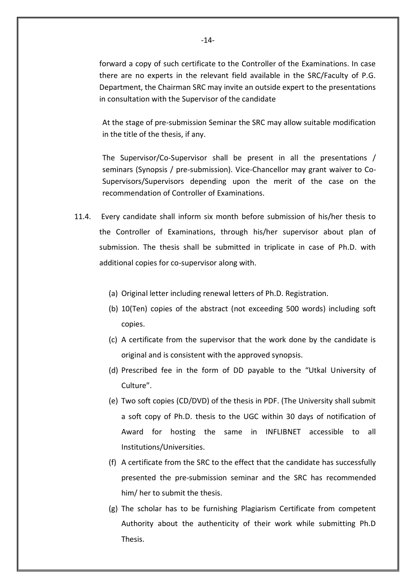forward a copy of such certificate to the Controller of the Examinations. In case there are no experts in the relevant field available in the SRC/Faculty of P.G. Department, the Chairman SRC may invite an outside expert to the presentations in consultation with the Supervisor of the candidate

At the stage of pre-submission Seminar the SRC may allow suitable modification in the title of the thesis, if any.

The Supervisor/Co-Supervisor shall be present in all the presentations / seminars (Synopsis / pre-submission). Vice-Chancellor may grant waiver to Co-Supervisors/Supervisors depending upon the merit of the case on the recommendation of Controller of Examinations.

- 11.4. Every candidate shall inform six month before submission of his/her thesis to the Controller of Examinations, through his/her supervisor about plan of submission. The thesis shall be submitted in triplicate in case of Ph.D. with additional copies for co-supervisor along with.
	- (a) Original letter including renewal letters of Ph.D. Registration.
	- (b) 10(Ten) copies of the abstract (not exceeding 500 words) including soft copies.
	- (c) A certificate from the supervisor that the work done by the candidate is original and is consistent with the approved synopsis.
	- (d) Prescribed fee in the form of DD payable to the "Utkal University of Culture".
	- (e) Two soft copies (CD/DVD) of the thesis in PDF. (The University shall submit a soft copy of Ph.D. thesis to the UGC within 30 days of notification of Award for hosting the same in INFLIBNET accessible to all Institutions/Universities.
	- (f) A certificate from the SRC to the effect that the candidate has successfully presented the pre-submission seminar and the SRC has recommended him/ her to submit the thesis.
	- (g) The scholar has to be furnishing Plagiarism Certificate from competent Authority about the authenticity of their work while submitting Ph.D Thesis.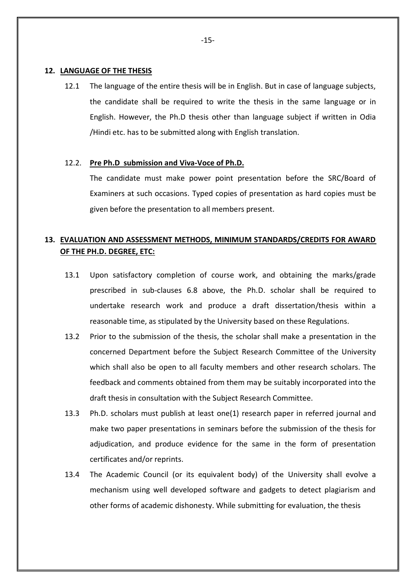#### <span id="page-15-0"></span>**12. LANGUAGE OF THE THESIS**

12.1 The language of the entire thesis will be in English. But in case of language subjects, the candidate shall be required to write the thesis in the same language or in English. However, the Ph.D thesis other than language subject if written in Odia /Hindi etc. has to be submitted along with English translation.

#### 12.2. **Pre Ph.D submission and Viva-Voce of Ph.D.**

The candidate must make power point presentation before the SRC/Board of Examiners at such occasions. Typed copies of presentation as hard copies must be given before the presentation to all members present.

# <span id="page-15-1"></span>**13. EVALUATION AND ASSESSMENT METHODS, MINIMUM STANDARDS/CREDITS FOR AWARD OF THE PH.D. DEGREE, ETC:**

- 13.1 Upon satisfactory completion of course work, and obtaining the marks/grade prescribed in sub-clauses 6.8 above, the Ph.D. scholar shall be required to undertake research work and produce a draft dissertation/thesis within a reasonable time, as stipulated by the University based on these Regulations.
- 13.2 Prior to the submission of the thesis, the scholar shall make a presentation in the concerned Department before the Subject Research Committee of the University which shall also be open to all faculty members and other research scholars. The feedback and comments obtained from them may be suitably incorporated into the draft thesis in consultation with the Subject Research Committee.
- 13.3 Ph.D. scholars must publish at least one(1) research paper in referred journal and make two paper presentations in seminars before the submission of the thesis for adjudication, and produce evidence for the same in the form of presentation certificates and/or reprints.
- 13.4 The Academic Council (or its equivalent body) of the University shall evolve a mechanism using well developed software and gadgets to detect plagiarism and other forms of academic dishonesty. While submitting for evaluation, the thesis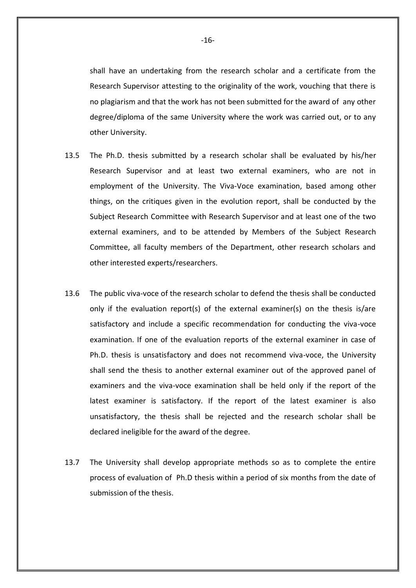shall have an undertaking from the research scholar and a certificate from the Research Supervisor attesting to the originality of the work, vouching that there is no plagiarism and that the work has not been submitted for the award of any other degree/diploma of the same University where the work was carried out, or to any other University.

- 13.5 The Ph.D. thesis submitted by a research scholar shall be evaluated by his/her Research Supervisor and at least two external examiners, who are not in employment of the University. The Viva-Voce examination, based among other things, on the critiques given in the evolution report, shall be conducted by the Subject Research Committee with Research Supervisor and at least one of the two external examiners, and to be attended by Members of the Subject Research Committee, all faculty members of the Department, other research scholars and other interested experts/researchers.
- 13.6 The public viva-voce of the research scholar to defend the thesis shall be conducted only if the evaluation report(s) of the external examiner(s) on the thesis is/are satisfactory and include a specific recommendation for conducting the viva-voce examination. If one of the evaluation reports of the external examiner in case of Ph.D. thesis is unsatisfactory and does not recommend viva-voce, the University shall send the thesis to another external examiner out of the approved panel of examiners and the viva-voce examination shall be held only if the report of the latest examiner is satisfactory. If the report of the latest examiner is also unsatisfactory, the thesis shall be rejected and the research scholar shall be declared ineligible for the award of the degree.
- 13.7 The University shall develop appropriate methods so as to complete the entire process of evaluation of Ph.D thesis within a period of six months from the date of submission of the thesis.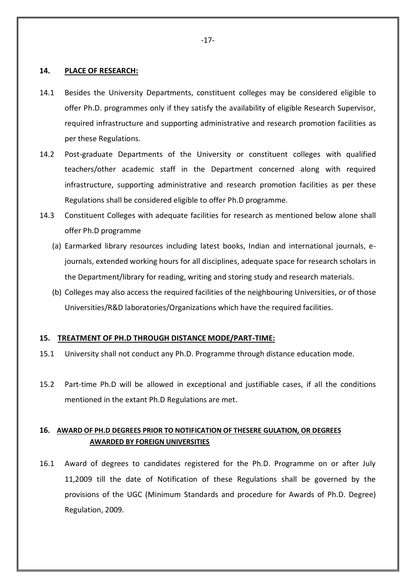### <span id="page-17-0"></span>**14. PLACE OF RESEARCH:**

- 14.1 Besides the University Departments, constituent colleges may be considered eligible to offer Ph.D. programmes only if they satisfy the availability of eligible Research Supervisor, required infrastructure and supporting administrative and research promotion facilities as per these Regulations.
- 14.2 Post-graduate Departments of the University or constituent colleges with qualified teachers/other academic staff in the Department concerned along with required infrastructure, supporting administrative and research promotion facilities as per these Regulations shall be considered eligible to offer Ph.D programme.
- 14.3 Constituent Colleges with adequate facilities for research as mentioned below alone shall offer Ph.D programme
	- (a) Earmarked library resources including latest books, Indian and international journals, ejournals, extended working hours for all disciplines, adequate space for research scholars in the Department/library for reading, writing and storing study and research materials.
	- (b) Colleges may also access the required facilities of the neighbouring Universities, or of those Universities/R&D laboratories/Organizations which have the required facilities.

#### <span id="page-17-1"></span>**15. TREATMENT OF PH.D THROUGH DISTANCE MODE/PART-TIME:**

- 15.1 University shall not conduct any Ph.D. Programme through distance education mode.
- 15.2 Part-time Ph.D will be allowed in exceptional and justifiable cases, if all the conditions mentioned in the extant Ph.D Regulations are met.

## <span id="page-17-2"></span>**16. AWARD OF PH.D DEGREES PRIOR TO NOTIFICATION OF THESERE GULATION, OR DEGREES AWARDED BY FOREIGN UNIVERSITIES**

16.1 Award of degrees to candidates registered for the Ph.D. Programme on or after July 11,2009 till the date of Notification of these Regulations shall be governed by the provisions of the UGC (Minimum Standards and procedure for Awards of Ph.D. Degree) Regulation, 2009.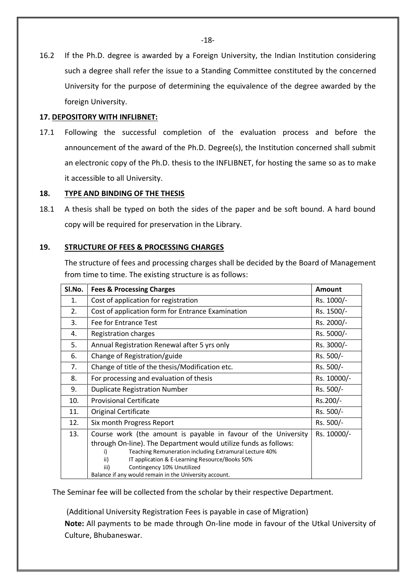16.2 If the Ph.D. degree is awarded by a Foreign University, the Indian Institution considering such a degree shall refer the issue to a Standing Committee constituted by the concerned University for the purpose of determining the equivalence of the degree awarded by the foreign University.

## <span id="page-18-0"></span>**17. DEPOSITORY WITH INFLIBNET:**

17.1 Following the successful completion of the evaluation process and before the announcement of the award of the Ph.D. Degree(s), the Institution concerned shall submit an electronic copy of the Ph.D. thesis to the INFLIBNET, for hosting the same so as to make it accessible to all University.

## <span id="page-18-1"></span>**18. TYPE AND BINDING OF THE THESIS**

18.1 A thesis shall be typed on both the sides of the paper and be soft bound. A hard bound copy will be required for preservation in the Library.

## **19. STRUCTURE OF FEES & PROCESSING CHARGES**

<span id="page-18-2"></span>The structure of fees and processing charges shall be decided by the Board of Management from time to time. The existing structure is as follows:

| <b>Fees &amp; Processing Charges</b>                                                                                                                                                                                                                                                              | <b>Amount</b>                                          |
|---------------------------------------------------------------------------------------------------------------------------------------------------------------------------------------------------------------------------------------------------------------------------------------------------|--------------------------------------------------------|
| Cost of application for registration                                                                                                                                                                                                                                                              | Rs. 1000/-                                             |
| Cost of application form for Entrance Examination                                                                                                                                                                                                                                                 | Rs. 1500/-                                             |
| Fee for Entrance Test                                                                                                                                                                                                                                                                             | Rs. 2000/-                                             |
| <b>Registration charges</b>                                                                                                                                                                                                                                                                       | Rs. 5000/-                                             |
| Annual Registration Renewal after 5 yrs only                                                                                                                                                                                                                                                      | Rs. 3000/-                                             |
| Change of Registration/guide                                                                                                                                                                                                                                                                      | Rs. 500/-                                              |
| Change of title of the thesis/Modification etc.                                                                                                                                                                                                                                                   | Rs. 500/-                                              |
| For processing and evaluation of thesis                                                                                                                                                                                                                                                           | Rs. 10000/-                                            |
| <b>Duplicate Registration Number</b>                                                                                                                                                                                                                                                              | Rs. 500/-                                              |
| <b>Provisional Certificate</b>                                                                                                                                                                                                                                                                    | Rs.200/-                                               |
| <b>Original Certificate</b>                                                                                                                                                                                                                                                                       | Rs. 500/-                                              |
| Six month Progress Report                                                                                                                                                                                                                                                                         | Rs. 500/-                                              |
| Course work (the amount is payable in favour of the University<br>through On-line). The Department would utilize funds as follows:<br>Teaching Remuneration including Extramural Lecture 40%<br>i)<br>ii)<br>IT application & E-Learning Resource/Books 50%<br>Contingency 10% Unutilized<br>iii) | Rs. 10000/-                                            |
|                                                                                                                                                                                                                                                                                                   | Balance if any would remain in the University account. |

The Seminar fee will be collected from the scholar by their respective Department.

(Additional University Registration Fees is payable in case of Migration)

**Note:** All payments to be made through On-line mode in favour of the Utkal University of Culture, Bhubaneswar.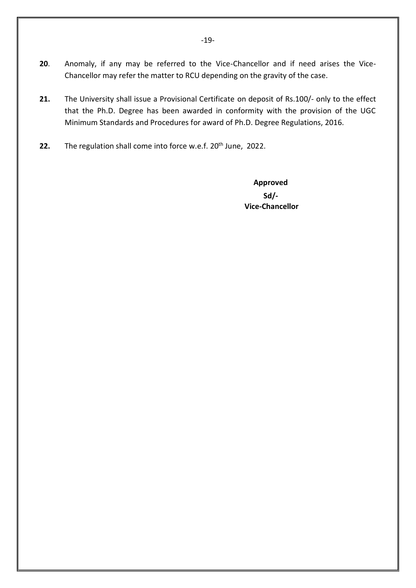- <span id="page-19-0"></span>**20**. Anomaly, if any may be referred to the Vice-Chancellor and if need arises the Vice-Chancellor may refer the matter to RCU depending on the gravity of the case.
- **21.** The University shall issue a Provisional Certificate on deposit of Rs.100/- only to the effect that the Ph.D. Degree has been awarded in conformity with the provision of the UGC Minimum Standards and Procedures for award of Ph.D. Degree Regulations, 2016.
- **22.** The regulation shall come into force w.e.f. 20<sup>th</sup> June, 2022.

**Approved Sd/- Vice-Chancellor**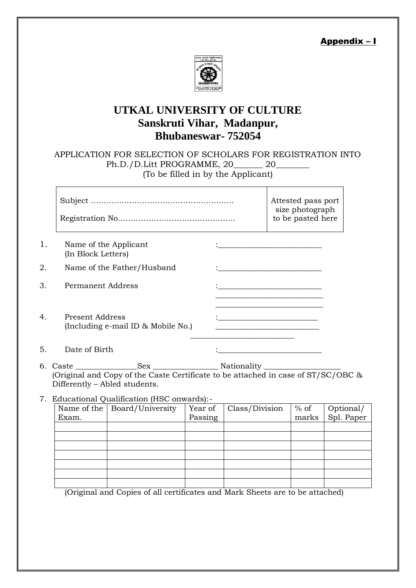Appendix – I



# <span id="page-20-0"></span>**UTKAL UNIVERSITY OF CULTURE Sanskruti Vihar, Madanpur, Bhubaneswar- 752054**

APPLICATION FOR SELECTION OF SCHOLARS FOR REGISTRATION INTO Ph.D./D.Litt PROGRAMME, 20\_\_\_\_\_\_\_ 20\_\_\_\_\_\_\_\_ (To be filled in by the Applicant)

|    |                                                       | Attested pass port<br>size photograph<br>to be pasted here                                                             |
|----|-------------------------------------------------------|------------------------------------------------------------------------------------------------------------------------|
| 1. | Name of the Applicant<br>(In Block Letters)           |                                                                                                                        |
| 2. | Name of the Father/Husband                            |                                                                                                                        |
| 3. | Permanent Address                                     |                                                                                                                        |
| 4. | Present Address<br>(Including e-mail ID & Mobile No.) | <u> 1989 - Johann John Stone, mars et al. 1989 - John Stone, mars et al. 1989 - John Stone, mars et al. 1989 - Joh</u> |
| 5. | Date of Birth                                         |                                                                                                                        |

- 6. Caste \_\_\_\_\_\_\_\_\_\_\_\_\_\_\_\_Sex \_\_\_\_\_\_\_\_\_\_\_\_\_\_\_\_\_ Nationality \_\_\_\_\_\_\_\_\_\_\_\_\_\_\_\_\_\_\_\_ (Original and Copy of the Caste Certificate to be attached in case of ST/SC/OBC & Differently – Abled students.
- 7. Educational Qualification (HSC onwards):-

| Name of the   Board/University | Year of | Class/Division | $%$ of |                         |
|--------------------------------|---------|----------------|--------|-------------------------|
|                                | Passing |                | marks  | Optional/<br>Spl. Paper |
|                                |         |                |        |                         |
|                                |         |                |        |                         |
|                                |         |                |        |                         |
|                                |         |                |        |                         |
|                                |         |                |        |                         |
|                                |         |                |        |                         |
|                                |         |                |        |                         |
|                                |         |                |        |                         |

(Original and Copies of all certificates and Mark Sheets are to be attached)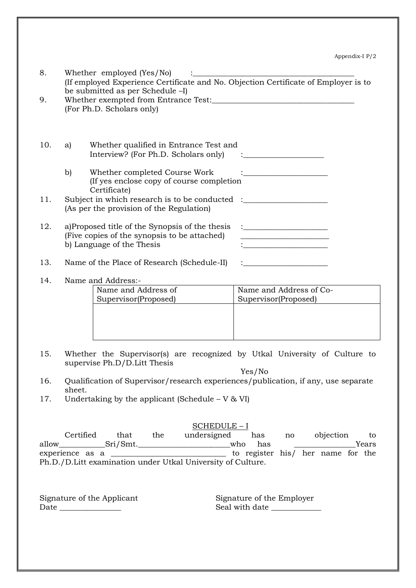| 8.<br>9. | Whether employed (Yes/No)<br>(If employed Experience Certificate and No. Objection Certificate of Employer is to<br>be submitted as per Schedule -I)<br>(For Ph.D. Scholars only) |                                                                                                                              |                                                                                                                      |
|----------|-----------------------------------------------------------------------------------------------------------------------------------------------------------------------------------|------------------------------------------------------------------------------------------------------------------------------|----------------------------------------------------------------------------------------------------------------------|
| 10.      | a)                                                                                                                                                                                | Whether qualified in Entrance Test and<br>Interview? (For Ph.D. Scholars only)                                               |                                                                                                                      |
|          | b)                                                                                                                                                                                | Whether completed Course Work<br>(If yes enclose copy of course completion<br>Certificate)                                   |                                                                                                                      |
| 11.      |                                                                                                                                                                                   | Subject in which research is to be conducted :__________________________________<br>(As per the provision of the Regulation) |                                                                                                                      |
| 12.      |                                                                                                                                                                                   | a)Proposed title of the Synopsis of the thesis<br>(Five copies of the synopsis to be attached)<br>b) Language of the Thesis  | <u> 1989 - Johann Barbara, martin amerikan basar da</u>                                                              |
| 13.      |                                                                                                                                                                                   | Name of the Place of Research (Schedule-II)                                                                                  | <u> 1980 - Andrea Albert III, poet e post al provincia de la provincia de la provincia de la provincia de la pro</u> |
| 14.      |                                                                                                                                                                                   | Name and Address:-<br>Name and Address of<br>Supervisor(Proposed)                                                            | Name and Address of Co-<br>Supervisor(Proposed)                                                                      |
|          |                                                                                                                                                                                   |                                                                                                                              |                                                                                                                      |

15. Whether the Supervisor(s) are recognized by Utkal University of Culture to supervise Ph.D/D.Litt Thesis

Yes/No

- 16. Qualification of Supervisor/research experiences/publication, if any, use separate sheet.
- 17. Undertaking by the applicant (Schedule  $V & W$ I)

SCHEDULE – I

Certified that the undersigned has no objection to allow\_\_\_\_\_\_\_\_\_\_\_Sri/Smt.\_\_\_\_\_\_\_\_\_\_\_\_\_\_\_\_\_\_\_\_\_\_who has \_\_\_\_\_\_\_\_\_\_\_\_\_\_\_\_\_\_\_Years experience as a \_\_\_\_\_\_\_\_\_\_\_\_\_\_\_\_\_\_\_\_\_\_\_\_\_\_\_\_\_\_ to register his/ her name for the Ph.D./D.Litt examination under Utkal University of Culture.

Signature of the Applicant Signature of the Employer Date \_\_\_\_\_\_\_\_\_\_\_\_\_\_\_\_ Seal with date \_\_\_\_\_\_\_\_\_\_\_\_\_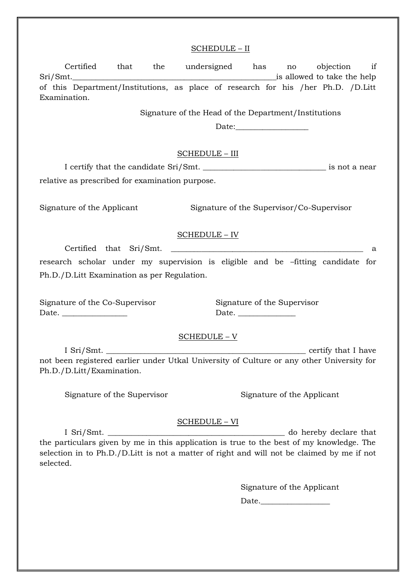#### SCHEDULE – II

Certified that the undersigned has no objection if Sri/Smt.\_\_\_\_\_\_\_\_\_\_\_\_\_\_\_\_\_\_\_\_\_\_\_\_\_\_\_\_\_\_\_\_\_\_\_\_\_\_\_\_\_\_\_\_\_\_\_\_\_\_\_\_\_is allowed to take the help of this Department/Institutions, as place of research for his /her Ph.D. /D.Litt Examination. Signature of the Head of the Department/Institutions Date: SCHEDULE – III I certify that the candidate Sri/Smt. \_\_\_\_\_\_\_\_\_\_\_\_\_\_\_\_\_\_\_\_\_\_\_\_\_\_\_\_\_\_\_\_ is not a near relative as prescribed for examination purpose. Signature of the Applicant Signature of the Supervisor/Co-Supervisor SCHEDULE – IV Certified that Sri/Smt. \_\_\_\_\_\_\_\_\_\_\_\_\_\_\_\_\_\_\_\_\_\_\_\_\_\_\_\_\_\_\_\_\_\_\_\_\_\_\_\_\_\_\_\_\_\_\_\_\_\_ a research scholar under my supervision is eligible and be –fitting candidate for Ph.D./D.Litt Examination as per Regulation. Signature of the Co-Supervisor Signature of the Supervisor Date. \_\_\_\_\_\_\_\_\_\_\_\_\_\_\_\_\_ Date. \_\_\_\_\_\_\_\_\_\_\_\_\_\_\_ SCHEDULE – V I Sri/Smt. \_\_\_\_\_\_\_\_\_\_\_\_\_\_\_\_\_\_\_\_\_\_\_\_\_\_\_\_\_\_\_\_\_\_\_\_\_\_\_\_\_\_\_\_\_\_\_\_\_\_\_\_ certify that I have not been registered earlier under Utkal University of Culture or any other University for Ph.D./D.Litt/Examination. Signature of the Supervisor Signature of the Applicant SCHEDULE – VI I Sri/Smt. \_\_\_\_\_\_\_\_\_\_\_\_\_\_\_\_\_\_\_\_\_\_\_\_\_\_\_\_\_\_\_\_\_\_\_\_\_\_\_\_\_\_\_\_\_\_ do hereby declare that the particulars given by me in this application is true to the best of my knowledge. The selection in to Ph.D./D.Litt is not a matter of right and will not be claimed by me if not selected. Signature of the Applicant Date.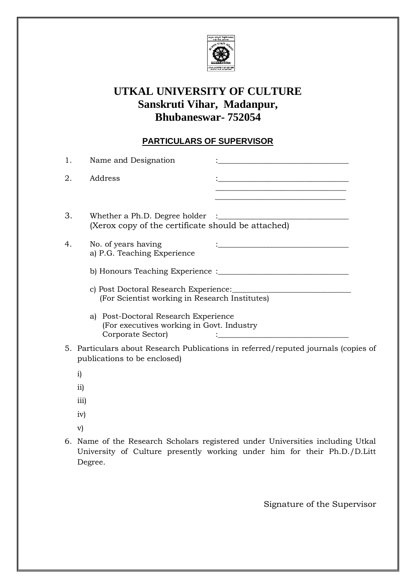

# **UTKAL UNIVERSITY OF CULTURE Sanskruti Vihar, Madanpur, Bhubaneswar- 752054**

# **PARTICULARS OF SUPERVISOR**

| 1. | Name and Designation                                                                                      |                                                                                                                                                                                                                             |
|----|-----------------------------------------------------------------------------------------------------------|-----------------------------------------------------------------------------------------------------------------------------------------------------------------------------------------------------------------------------|
| 2. | Address                                                                                                   | <u> 1989 - Johann Barbara, martxa alemaniar amerikan a</u><br><u> 1980 - Jan James James, martin amerikan bahasa (j. 1980)</u><br>the control of the control of the control of the control of the control of the control of |
| 3. | Whether a Ph.D. Degree holder<br>(Xerox copy of the certificate should be attached)                       |                                                                                                                                                                                                                             |
| 4. | No. of years having<br>a) P.G. Teaching Experience                                                        | <u> 1989 - Johann John Stone, meil in der Stone (d. 1989)</u>                                                                                                                                                               |
|    |                                                                                                           |                                                                                                                                                                                                                             |
|    | (For Scientist working in Research Institutes)                                                            |                                                                                                                                                                                                                             |
|    | Post-Doctoral Research Experience<br>a)<br>(For executives working in Govt. Industry<br>Corporate Sector) | <u> 1980 - Johann Barbara, martxa alemaniar a</u>                                                                                                                                                                           |
|    | publications to be enclosed)                                                                              | 5. Particulars about Research Publications in referred/reputed journals (copies of                                                                                                                                          |
|    | $\mathbf{i}$                                                                                              |                                                                                                                                                                                                                             |
|    | $\rm ii)$                                                                                                 |                                                                                                                                                                                                                             |
|    | $\overline{iii}$                                                                                          |                                                                                                                                                                                                                             |
|    | iv)                                                                                                       |                                                                                                                                                                                                                             |
|    | V)                                                                                                        |                                                                                                                                                                                                                             |

6. Name of the Research Scholars registered under Universities including Utkal University of Culture presently working under him for their Ph.D./D.Litt Degree.

Signature of the Supervisor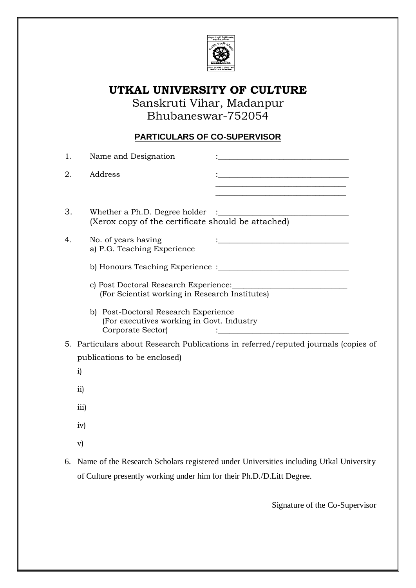

# **UTKAL UNIVERSITY OF CULTURE**

Sanskruti Vihar, Madanpur Bhubaneswar-752054

# **PARTICULARS OF CO-SUPERVISOR**

| 1. | Name and Designation                                                                                   |
|----|--------------------------------------------------------------------------------------------------------|
| 2. | Address<br><u> 1989 - Johann Barbara, martxa alemaniar arg</u>                                         |
|    | the control of the control of the control of the control of the control of the control of              |
| 3. | Whether a Ph.D. Degree holder<br>(Xerox copy of the certificate should be attached)                    |
| 4. | No. of years having<br>a) P.G. Teaching Experience                                                     |
|    |                                                                                                        |
|    | c) Post Doctoral Research Experience:<br>(For Scientist working in Research Institutes)                |
|    | b) Post-Doctoral Research Experience<br>(For executives working in Govt. Industry<br>Corporate Sector) |
|    | 5. Particulars about Research Publications in referred/reputed journals (copies of                     |
|    | publications to be enclosed)                                                                           |
|    | $\mathbf{i}$                                                                                           |
|    | $\rm ii)$                                                                                              |
|    | iii)                                                                                                   |
|    | iv)                                                                                                    |
|    | $\mathbf{v})$                                                                                          |
|    |                                                                                                        |

6. Name of the Research Scholars registered under Universities including Utkal University of Culture presently working under him for their Ph.D./D.Litt Degree.

Signature of the Co-Supervisor